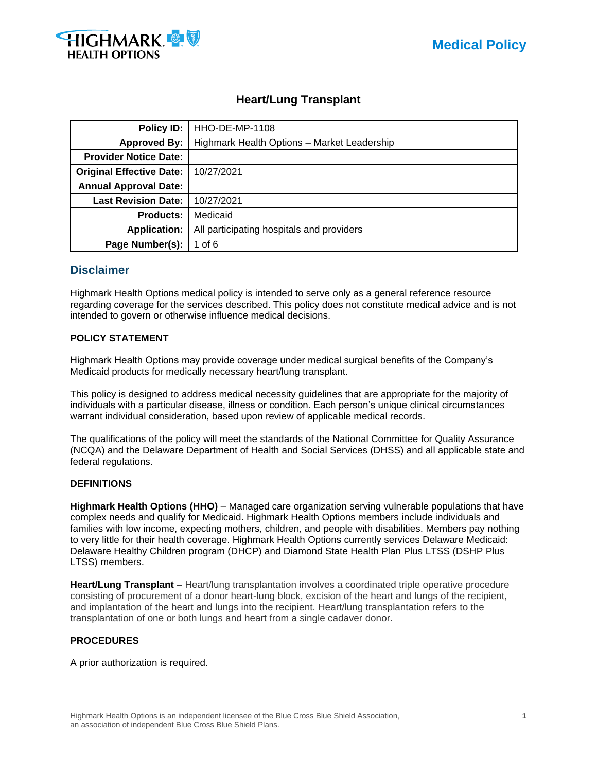

# **Heart/Lung Transplant**

| Policy ID:                               | <b>HHO-DE-MP-1108</b>                       |  |  |
|------------------------------------------|---------------------------------------------|--|--|
| <b>Approved By:</b>                      | Highmark Health Options - Market Leadership |  |  |
| <b>Provider Notice Date:</b>             |                                             |  |  |
| <b>Original Effective Date:</b>          | 10/27/2021                                  |  |  |
| <b>Annual Approval Date:</b>             |                                             |  |  |
| <b>Last Revision Date:</b><br>10/27/2021 |                                             |  |  |
| <b>Products:</b>                         | Medicaid                                    |  |  |
| <b>Application:</b>                      | All participating hospitals and providers   |  |  |
| Page Number(s):<br>1 of 6                |                                             |  |  |

## **Disclaimer**

Highmark Health Options medical policy is intended to serve only as a general reference resource regarding coverage for the services described. This policy does not constitute medical advice and is not intended to govern or otherwise influence medical decisions.

## **POLICY STATEMENT**

Highmark Health Options may provide coverage under medical surgical benefits of the Company's Medicaid products for medically necessary heart/lung transplant.

This policy is designed to address medical necessity guidelines that are appropriate for the majority of individuals with a particular disease, illness or condition. Each person's unique clinical circumstances warrant individual consideration, based upon review of applicable medical records.

The qualifications of the policy will meet the standards of the National Committee for Quality Assurance (NCQA) and the Delaware Department of Health and Social Services (DHSS) and all applicable state and federal regulations.

### **DEFINITIONS**

**Highmark Health Options (HHO)** – Managed care organization serving vulnerable populations that have complex needs and qualify for Medicaid. Highmark Health Options members include individuals and families with low income, expecting mothers, children, and people with disabilities. Members pay nothing to very little for their health coverage. Highmark Health Options currently services Delaware Medicaid: Delaware Healthy Children program (DHCP) and Diamond State Health Plan Plus LTSS (DSHP Plus LTSS) members.

**Heart/Lung Transplant** – Heart/lung transplantation involves a coordinated triple operative procedure consisting of procurement of a donor heart-lung block, excision of the heart and lungs of the recipient, and implantation of the heart and lungs into the recipient. Heart/lung transplantation refers to the transplantation of one or both lungs and heart from a single cadaver donor.

### **PROCEDURES**

A prior authorization is required.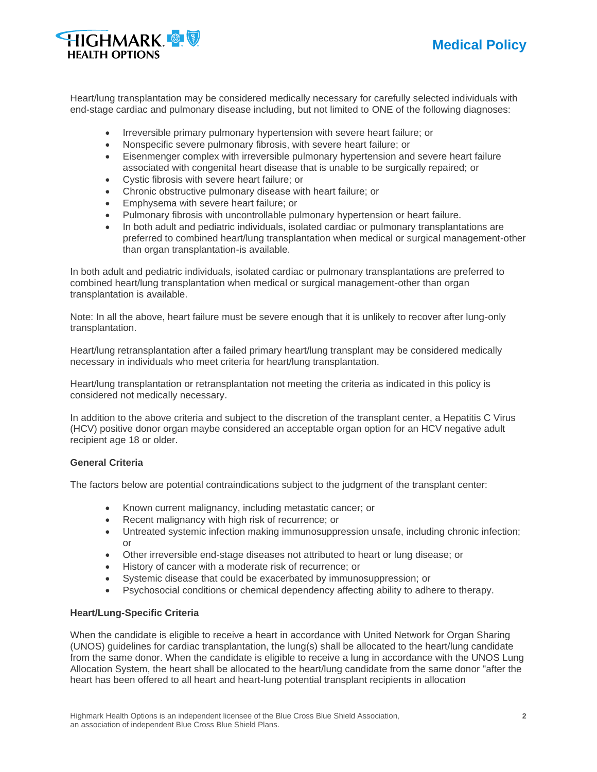



Heart/lung transplantation may be considered medically necessary for carefully selected individuals with end-stage cardiac and pulmonary disease including, but not limited to ONE of the following diagnoses:

- Irreversible primary pulmonary hypertension with severe heart failure; or
- Nonspecific severe pulmonary fibrosis, with severe heart failure; or
- Eisenmenger complex with irreversible pulmonary hypertension and severe heart failure associated with congenital heart disease that is unable to be surgically repaired; or
- Cystic fibrosis with severe heart failure; or
- Chronic obstructive pulmonary disease with heart failure; or
- Emphysema with severe heart failure; or
- Pulmonary fibrosis with uncontrollable pulmonary hypertension or heart failure.
- In both adult and pediatric individuals, isolated cardiac or pulmonary transplantations are preferred to combined heart/lung transplantation when medical or surgical management-other than organ transplantation-is available.

In both adult and pediatric individuals, isolated cardiac or pulmonary transplantations are preferred to combined heart/lung transplantation when medical or surgical management-other than organ transplantation is available.

Note: In all the above, heart failure must be severe enough that it is unlikely to recover after lung-only transplantation.

Heart/lung retransplantation after a failed primary heart/lung transplant may be considered medically necessary in individuals who meet criteria for heart/lung transplantation.

Heart/lung transplantation or retransplantation not meeting the criteria as indicated in this policy is considered not medically necessary.

In addition to the above criteria and subject to the discretion of the transplant center, a Hepatitis C Virus (HCV) positive donor organ maybe considered an acceptable organ option for an HCV negative adult recipient age 18 or older.

### **General Criteria**

The factors below are potential contraindications subject to the judgment of the transplant center:

- Known current malignancy, including metastatic cancer; or
- Recent malignancy with high risk of recurrence; or
- Untreated systemic infection making immunosuppression unsafe, including chronic infection; or
- Other irreversible end-stage diseases not attributed to heart or lung disease; or
- History of cancer with a moderate risk of recurrence; or
- Systemic disease that could be exacerbated by immunosuppression; or
- Psychosocial conditions or chemical dependency affecting ability to adhere to therapy.

#### **Heart/Lung-Specific Criteria**

When the candidate is eligible to receive a heart in accordance with United Network for Organ Sharing (UNOS) guidelines for cardiac transplantation, the lung(s) shall be allocated to the heart/lung candidate from the same donor. When the candidate is eligible to receive a lung in accordance with the UNOS Lung Allocation System, the heart shall be allocated to the heart/lung candidate from the same donor "after the heart has been offered to all heart and heart-lung potential transplant recipients in allocation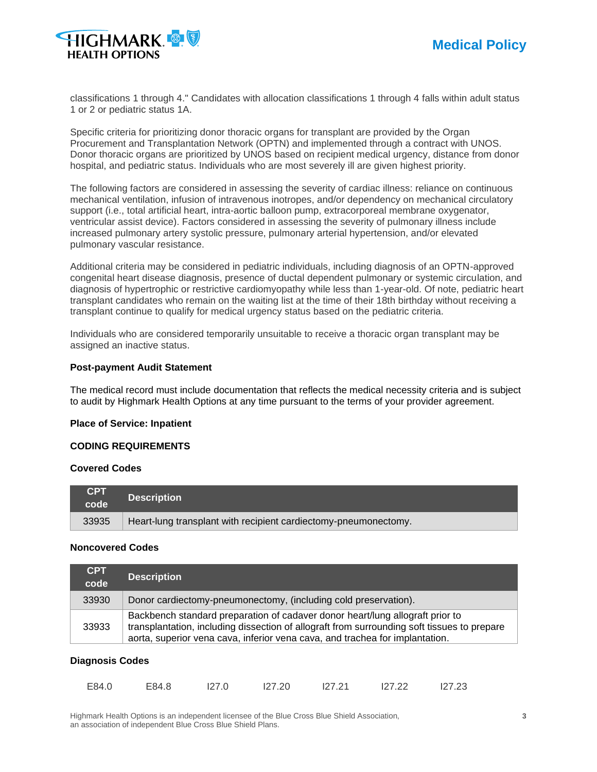

classifications 1 through 4." Candidates with allocation classifications 1 through 4 falls within adult status 1 or 2 or pediatric status 1A.

Specific criteria for prioritizing donor thoracic organs for transplant are provided by the Organ Procurement and Transplantation Network (OPTN) and implemented through a contract with UNOS. Donor thoracic organs are prioritized by UNOS based on recipient medical urgency, distance from donor hospital, and pediatric status. Individuals who are most severely ill are given highest priority.

The following factors are considered in assessing the severity of cardiac illness: reliance on continuous mechanical ventilation, infusion of intravenous inotropes, and/or dependency on mechanical circulatory support (i.e., total artificial heart, intra-aortic balloon pump, extracorporeal membrane oxygenator, ventricular assist device). Factors considered in assessing the severity of pulmonary illness include increased pulmonary artery systolic pressure, pulmonary arterial hypertension, and/or elevated pulmonary vascular resistance.

Additional criteria may be considered in pediatric individuals, including diagnosis of an OPTN-approved congenital heart disease diagnosis, presence of ductal dependent pulmonary or systemic circulation, and diagnosis of hypertrophic or restrictive cardiomyopathy while less than 1-year-old. Of note, pediatric heart transplant candidates who remain on the waiting list at the time of their 18th birthday without receiving a transplant continue to qualify for medical urgency status based on the pediatric criteria.

Individuals who are considered temporarily unsuitable to receive a thoracic organ transplant may be assigned an inactive status.

#### **Post-payment Audit Statement**

The medical record must include documentation that reflects the medical necessity criteria and is subject to audit by Highmark Health Options at any time pursuant to the terms of your provider agreement.

#### **Place of Service: Inpatient**

## **CODING REQUIREMENTS**

#### **Covered Codes**

| <b>CPT</b><br>code | <b>Description</b>                                              |
|--------------------|-----------------------------------------------------------------|
| 33935              | Heart-lung transplant with recipient cardiectomy-pneumonectomy. |

#### **Noncovered Codes**

| <b>CPT</b><br>code | <b>Description</b>                                                                                                                                                                                                                                           |
|--------------------|--------------------------------------------------------------------------------------------------------------------------------------------------------------------------------------------------------------------------------------------------------------|
| 33930              | Donor cardiectomy-pneumonectomy, (including cold preservation).                                                                                                                                                                                              |
| 33933              | Backbench standard preparation of cadaver donor heart/lung allograft prior to<br>transplantation, including dissection of allograft from surrounding soft tissues to prepare<br>aorta, superior vena cava, inferior vena cava, and trachea for implantation. |

#### **Diagnosis Codes**

| E84.0 | E84.8 | 127.0 | 127.20 | 127.21 | 127.22 | 127.23 |
|-------|-------|-------|--------|--------|--------|--------|
|       |       |       |        |        |        |        |

Highmark Health Options is an independent licensee of the Blue Cross Blue Shield Association, **3** an association of independent Blue Cross Blue Shield Plans.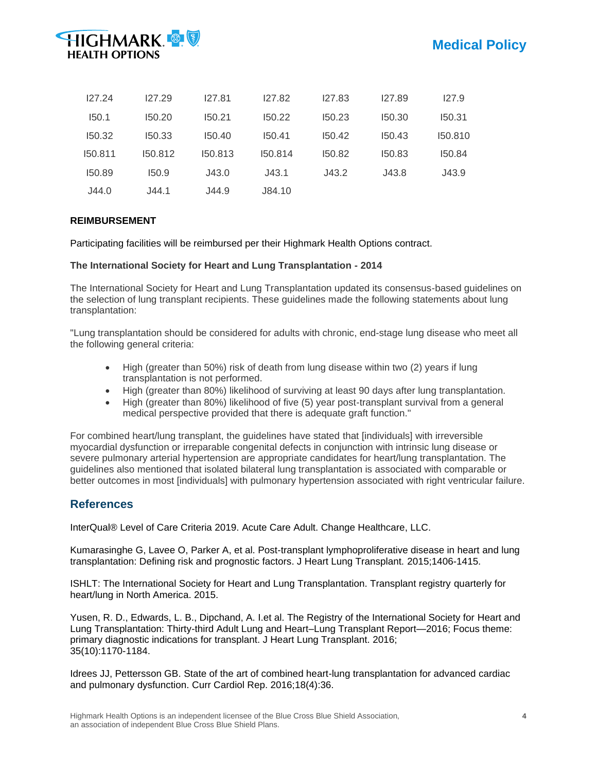

| 127.24  | 127.29  | 127.81  | 127.82  | 127.83 | 127.89 | 127.9   |
|---------|---------|---------|---------|--------|--------|---------|
| 150.1   | 150.20  | 150.21  | 150.22  | 150.23 | 150.30 | 150.31  |
| 150.32  | 150.33  | 150.40  | 150.41  | 150.42 | 150.43 | 150.810 |
| 150.811 | 150.812 | 150.813 | 150.814 | 150.82 | 150.83 | 150.84  |
| 150.89  | 150.9   | J43.0   | J43.1   | J43.2  | J43.8  | J43.9   |
| J44.0   | J44.1   | J44.9   | J84.10  |        |        |         |

## **REIMBURSEMENT**

Participating facilities will be reimbursed per their Highmark Health Options contract.

### **The International Society for Heart and Lung Transplantation - 2014**

The International Society for Heart and Lung Transplantation updated its consensus-based guidelines on the selection of lung transplant recipients. These guidelines made the following statements about lung transplantation:

"Lung transplantation should be considered for adults with chronic, end-stage lung disease who meet all the following general criteria:

- High (greater than 50%) risk of death from lung disease within two (2) years if lung transplantation is not performed.
- High (greater than 80%) likelihood of surviving at least 90 days after lung transplantation.
- High (greater than 80%) likelihood of five (5) year post-transplant survival from a general medical perspective provided that there is adequate graft function."

For combined heart/lung transplant, the guidelines have stated that [individuals] with irreversible myocardial dysfunction or irreparable congenital defects in conjunction with intrinsic lung disease or severe pulmonary arterial hypertension are appropriate candidates for heart/lung transplantation. The guidelines also mentioned that isolated bilateral lung transplantation is associated with comparable or better outcomes in most [individuals] with pulmonary hypertension associated with right ventricular failure.

## **References**

InterQual® Level of Care Criteria 2019. Acute Care Adult. Change Healthcare, LLC.

Kumarasinghe G, Lavee O, Parker A, et al. Post-transplant lymphoproliferative disease in heart and lung transplantation: Defining risk and prognostic factors. J Heart Lung Transplant. 2015;1406-1415.

ISHLT: The International Society for Heart and Lung Transplantation. Transplant registry quarterly for heart/lung in North America. 2015.

Yusen, R. D., Edwards, L. B., Dipchand, A. I.et al. The Registry of the International Society for Heart and Lung Transplantation: Thirty-third Adult Lung and Heart–Lung Transplant Report—2016; Focus theme: primary diagnostic indications for transplant. J Heart Lung Transplant. 2016; 35(10):1170-1184.

Idrees JJ, Pettersson GB. State of the art of combined heart-lung transplantation for advanced cardiac and pulmonary dysfunction. Curr Cardiol Rep. 2016;18(4):36.